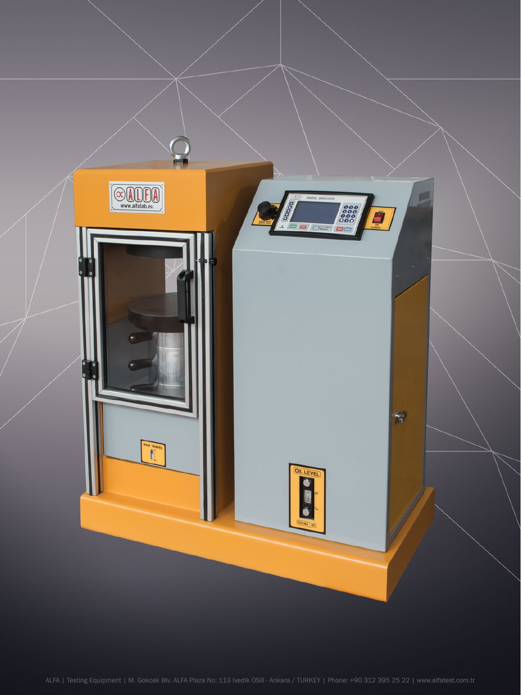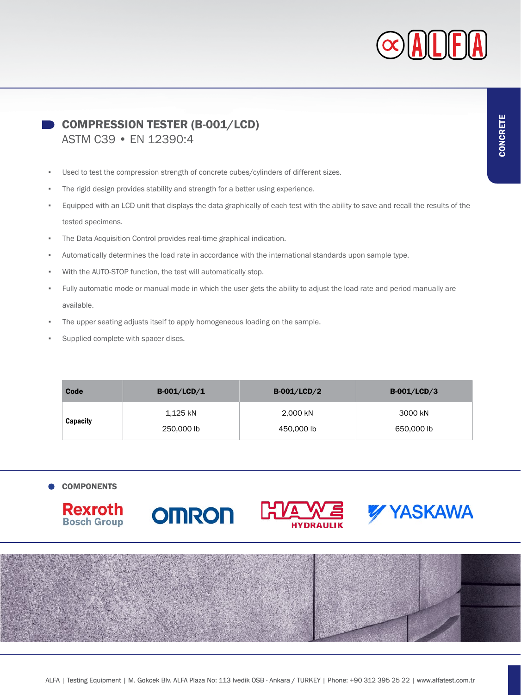

COMPRESSION TESTER (B-001/LCD) ASTM C39 • EN 12390:4

- Used to test the compression strength of concrete cubes/cylinders of different sizes.
- The rigid design provides stability and strength for a better using experience.
- Equipped with an LCD unit that displays the data graphically of each test with the ability to save and recall the results of the tested specimens.
- The Data Acquisition Control provides real-time graphical indication.
- Automatically determines the load rate in accordance with the international standards upon sample type.
- With the AUTO-STOP function, the test will automatically stop.
- Fully automatic mode or manual mode in which the user gets the ability to adjust the load rate and period manually are available.
- The upper seating adjusts itself to apply homogeneous loading on the sample.
- Supplied complete with spacer discs.

| Code     | $B-001/LCD/1$ | $B-001/LCD/2$ | $B-001/LCD/3$ |
|----------|---------------|---------------|---------------|
| Capacity | 1,125 kN      | 2,000 kN      | 3000 kN       |
|          | 250,000 lb    | 450,000 lb    | 650,000 lb    |

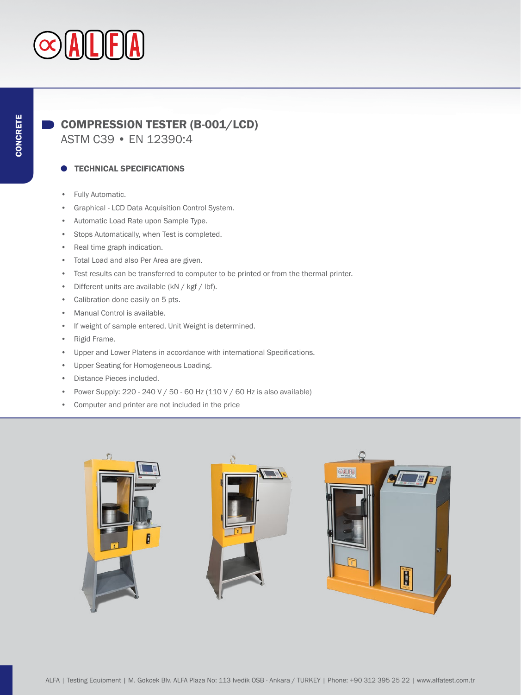# COMPRESSION TESTER (B-001/LCD)

ASTM C39 • EN 12390:4

## TECHNICAL SPECIFICATIONS

- Fully Automatic.
- Graphical LCD Data Acquisition Control System.
- Automatic Load Rate upon Sample Type.
- Stops Automatically, when Test is completed.
- Real time graph indication.
- Total Load and also Per Area are given.
- Test results can be transferred to computer to be printed or from the thermal printer.
- Different units are available (kN / kgf / lbf).
- Calibration done easily on 5 pts.
- Manual Control is available.
- If weight of sample entered, Unit Weight is determined.
- Rigid Frame.
- Upper and Lower Platens in accordance with international Specifications.
- Upper Seating for Homogeneous Loading.
- Distance Pieces included.
- Power Supply: 220 240 V / 50 60 Hz (110 V / 60 Hz is also available)
- Computer and printer are not included in the price

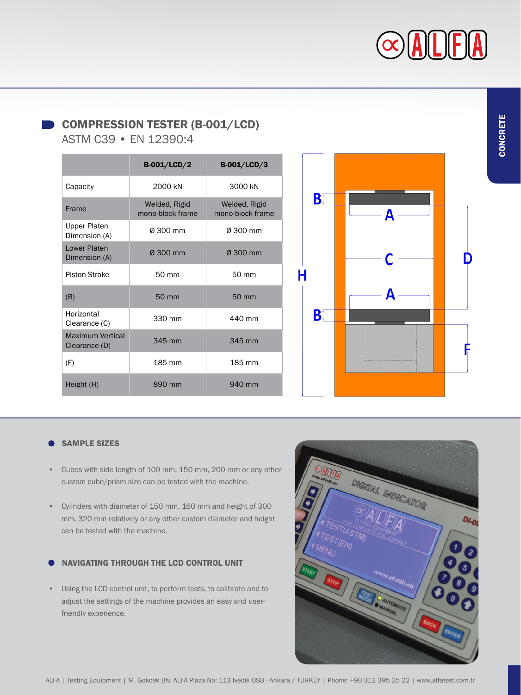# $|A|L|F|$

CONCRETE CONCRETE

# COMPRESSION TESTER (B-001/LCD)

ASTM C39 • EN 12390:4

|                                          | <b>B-001/LCD/2</b>                | <b>B-001/LCD/3</b>                |
|------------------------------------------|-----------------------------------|-----------------------------------|
| Capacity                                 | 2000 kN                           | 3000 kN                           |
| Frame                                    | Welded, Rigid<br>mono-block frame | Welded, Rigid<br>mono-block frame |
| Upper Platen<br>Dimension (A)            | Ø 300 mm                          | Ø 300 mm                          |
| <b>Lower Platen</b><br>Dimension (A)     | Ø 300 mm                          | Ø 300 mm                          |
| Piston Stroke                            | 50 mm                             | 50 mm                             |
| (B)                                      | 50 mm                             | 50 mm                             |
| Horizontal<br>Clearance (C)              | 330 mm                            | 440 mm                            |
| <b>Maximum Vertical</b><br>Clearance (D) | 345 mm                            | 345 mm                            |
| (F)                                      | 185 mm                            | 185 mm                            |
| Height (H)                               | 890 mm                            | 940 mm                            |



## SAMPLE SIZES

- Cubes with side length of 100 mm, 150 mm, 200 mm or any other custom cube/prism size can be tested with the machine.
- Cylinders with diameter of 150 mm, 160 mm and height of 300 mm, 320 mm relatively or any other custom diameter and height can be tested with the machine.

## NAVIGATING THROUGH THE LCD CONTROL UNIT

• Using the LCD control unit, to perform tests, to calibrate and to adjust the settings of the machine provides an easy and userfriendly experience.

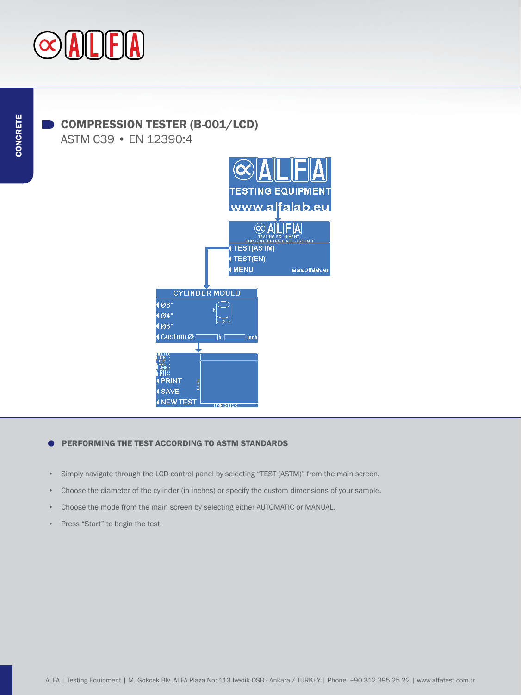

# COMPRESSION TESTER (B-001/LCD)

ASTM C39 • EN 12390:4



#### PERFORMING THE TEST ACCORDING TO ASTM STANDARDS ▲

- Simply navigate through the LCD control panel by selecting "TEST (ASTM)" from the main screen.
- Choose the diameter of the cylinder (in inches) or specify the custom dimensions of your sample.
- Choose the mode from the main screen by selecting either AUTOMATIC or MANUAL.
- Press "Start" to begin the test.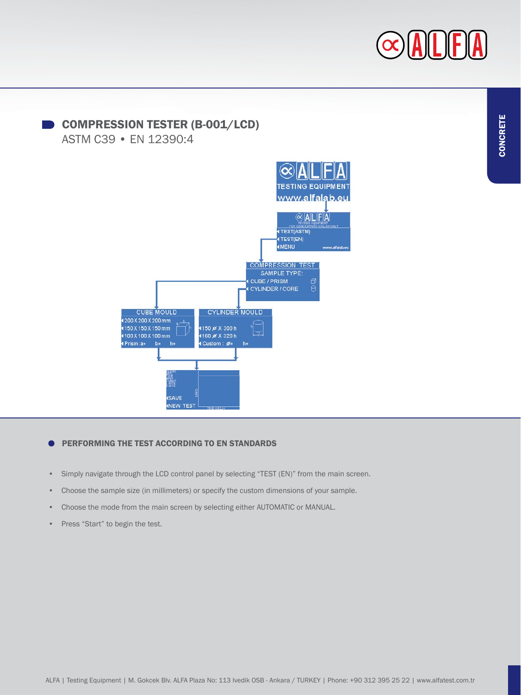



## PERFORMING THE TEST ACCORDING TO EN STANDARDS

- Simply navigate through the LCD control panel by selecting "TEST (EN)" from the main screen.
- Choose the sample size (in millimeters) or specify the custom dimensions of your sample.
- Choose the mode from the main screen by selecting either AUTOMATIC or MANUAL.
- Press "Start" to begin the test.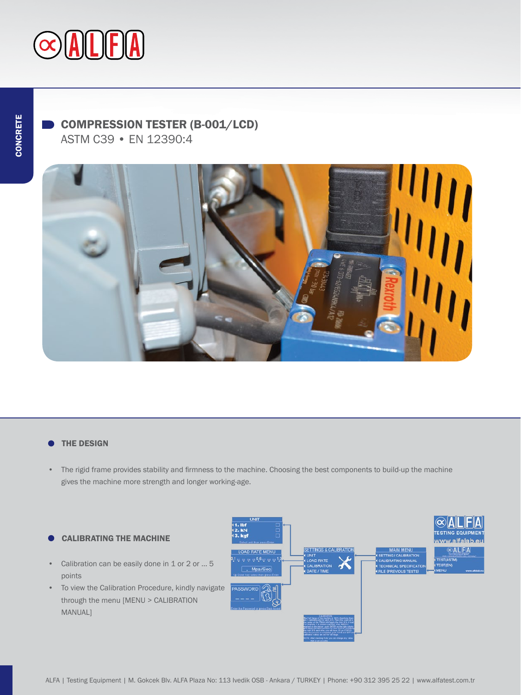

# COMPRESSION TESTER (B-001/LCD)

ASTM C39 • EN 12390:4



#### THE DESIGN ▲

• The rigid frame provides stability and firmness to the machine. Choosing the best components to build-up the machine gives the machine more strength and longer working-age.

### CALIBRATING THE MACHINE

- Calibration can be easily done in 1 or 2 or ... 5 points
- To view the Calibration Procedure, kindly navigate through the menu [MENU > CALIBRATION MANUAL]